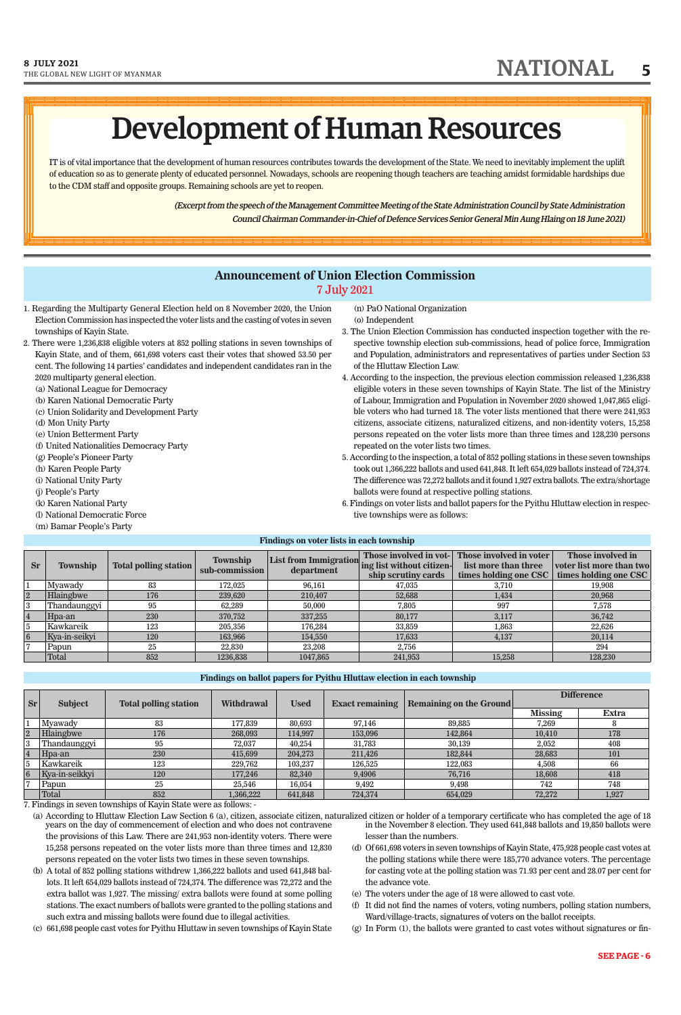(Excerpt from the speech of the Management Committee Meeting of the State Administration Council by State Administration Council Chairman Commander-in-Chief of Defence Services Senior General Min Aung Hlaing on 18 June 2021)

IT is of vital importance that the development of human resources contributes towards the development of the State. We need to inevitably implement the uplift of education so as to generate plenty of educated personnel. Nowadays, schools are reopening though teachers are teaching amidst formidable hardships due to the CDM staff and opposite groups. Remaining schools are yet to reopen.

W<del>a kata sa matao ang katao sa mga katao sa mga katao sa mga katao sa mga katao sa mga katao sa mga katao sa mga k</del>

# Development of Human Resources BGGGGGGGGGGGGGGGGGGGGGGGGGGGGGGGGGGGGGGGGGGGGGGGGGGGGGGGGGGGA

- 1. Regarding the Multiparty General Election held on 8 November 2020, the Union Election Commission has inspected the voter lists and the casting of votes in seven townships of Kayin State.
- 2. There were 1,236,838 eligible voters at 852 polling stations in seven townships of Kayin State, and of them, 661,698 voters cast their votes that showed 53.50 per cent. The following 14 parties' candidates and independent candidates ran in the 2020 multiparty general election.
	- (a) National League for Democracy
	- (b) Karen National Democratic Party
	- (c) Union Solidarity and Development Party
	- (d) Mon Unity Party
	- (e) Union Betterment Party
	- (f) United Nationalities Democracy Party
	- (g) People's Pioneer Party
	- (h) Karen People Party
	- (i) National Unity Party
	- (j) People's Party
	- (k) Karen National Party
	- (l) National Democratic Force
	- (m) Bamar People's Party

(n) PaO National Organization (o) Independent

- 3. The Union Election Commission has conducted inspection together with the respective township election sub-commissions, head of police force, Immigration and Population, administrators and representatives of parties under Section 53 of the Hluttaw Election Law.
- 4. According to the inspection, the previous election commission released 1,236,838 eligible voters in these seven townships of Kayin State. The list of the Ministry of Labour, Immigration and Population in November 2020 showed 1,047,865 eligible voters who had turned 18. The voter lists mentioned that there were 241,953 citizens, associate citizens, naturalized citizens, and non-identity voters, 15,258 persons repeated on the voter lists more than three times and 128,230 persons repeated on the voter lists two times.
- 5. According to the inspection, a total of 852 polling stations in these seven townships took out 1,366,222 ballots and used 641,848. It left 654,029 ballots instead of 724,374. The difference was 72,272 ballots and it found 1,927 extra ballots. The extra/shortage ballots were found at respective polling stations.
- 6. Findings on voter lists and ballot papers for the Pyithu Hluttaw election in respective townships were as follows:

### **Announcement of Union Election Commission** 7 July 2021

#### **SEE PAGE - 6**

- the provisions of this Law. There are 241,953 non-identity voters. There were 15,258 persons repeated on the voter lists more than three times and 12,830 persons repeated on the voter lists two times in these seven townships. (a) According to Hluttaw Election Law Section 6 (a), citizen, associate citizen, naturalized citizen or holder of a temporary certificate who has completed the age of 18
- (b) A total of 852 polling stations withdrew 1,366,222 ballots and used 641,848 ballots. It left 654,029 ballots instead of 724,374. The difference was 72,272 and the extra ballot was 1,927. The missing/ extra ballots were found at some polling stations. The exact numbers of ballots were granted to the polling stations and such extra and missing ballots were found due to illegal activities.
- years on the day of commencement of election and who does not contravene in the November 8 election. They used 641,848 ballots and 19,850 ballots were lesser than the numbers.
	- (d) Of 661,698 voters in seven townships of Kayin State, 475,928 people cast votes at the polling stations while there were 185,770 advance voters. The percentage for casting vote at the polling station was 71.93 per cent and 28.07 per cent for the advance vote.
	- (e) The voters under the age of 18 were allowed to cast vote.
	- (f) It did not find the names of voters, voting numbers, polling station numbers, Ward/village-tracts, signatures of voters on the ballot receipts.
	- (g) In Form (1), the ballots were granted to cast votes without signatures or fin-

(c) 661,698 people cast votes for Pyithu Hluttaw in seven townships of Kayin State

| <b>Sr</b>   | <b>Township</b> | <b>Total polling station</b> | <b>Township</b><br>sub-commission | List from Immigration.<br>department | Those involved in vot-<br>ing list without citizen-<br>ship scrutiny cards | Those involved in voter<br>list more than three<br>times holding one CSC | Those involved in<br>voter list more than two<br>times holding one CSC |
|-------------|-----------------|------------------------------|-----------------------------------|--------------------------------------|----------------------------------------------------------------------------|--------------------------------------------------------------------------|------------------------------------------------------------------------|
|             | Myawady         | 83                           | 172,025                           | 96.161                               | 47,035                                                                     | 3.710                                                                    | 19,908                                                                 |
| $2^{\circ}$ | Hlaingbwe       | 176                          | 239,620                           | 210,407                              | 52,688                                                                     | 1,434                                                                    | 20,968                                                                 |
| 3           | Thandaunggyi    | 95                           | 62.289                            | 50,000                               | 7.805                                                                      | 997                                                                      | 7.578                                                                  |
|             | Hpa-an          | 230                          | 370,752                           | 337,255                              | 80.177                                                                     | 3,117                                                                    | 36,742                                                                 |
| 5           | Kawkareik       | 123                          | 205,356                           | 176,284                              | 33,859                                                                     | 1.863                                                                    | 22.626                                                                 |
| 6           | Kya-in-seikyi   | 120                          | 163,966                           | 154,550                              | 17.633                                                                     | 4,137                                                                    | 20,114                                                                 |
|             | Papun           | 25                           | 22,830                            | 23,208                               | 2,756                                                                      |                                                                          | 294                                                                    |
|             | Total           | 852                          | 1236,838                          | 1047.865                             | 241,953                                                                    | 15.258                                                                   | 128,230                                                                |

|                | <b>Subject</b> | <b>Total polling station</b> | <b>Withdrawal</b> | <b>Used</b> | <b>Exact remaining</b> |                                | <b>Difference</b> |              |
|----------------|----------------|------------------------------|-------------------|-------------|------------------------|--------------------------------|-------------------|--------------|
| <b>Sr</b>      |                |                              |                   |             |                        | <b>Remaining on the Ground</b> |                   |              |
|                |                |                              |                   |             |                        |                                | <b>Missing</b>    | <b>Extra</b> |
|                | Myawady        | 83                           | 177.839           | 80.693      | 97.146                 | 89,885                         | 7.269             |              |
| $\overline{2}$ | Hlaingbwe      | 176                          | 268,093           | 114.997     | 153,096                | 142.864                        | 10.410            | 178          |
|                | Thandaunggyi   | 95                           | 72,037            | 40,254      | 31,783                 | 30,139                         | $2,\!052$         | 408          |
|                | Hpa-an         | 230                          | 415,699           | 204,273     | 211,426                | 182.844                        | 28,683            | 101          |
|                | Kawkareik      | 123                          | 229,762           | 103,237     | 126,525                | 122.083                        | 4,508             | 66           |
| 6              | Kya-in-seikkyi | 120                          | 177.246           | 82,340      | 9,4906                 | 76.716                         | 18,608            | 418          |
|                | Papun          | 25                           | 25,546            | 16,054      | 9.492                  | 9.498                          | 742               | 748          |
|                | Total          | 852                          | 1.366.222         | 641,848     | 724,374                | 654,029                        | 72,272            | 1,927        |

7. Findings in seven townships of Kayin State were as follows: -

#### **Findings on voter lists in each township**

#### **Findings on ballot papers for Pyithu Hluttaw election in each township**